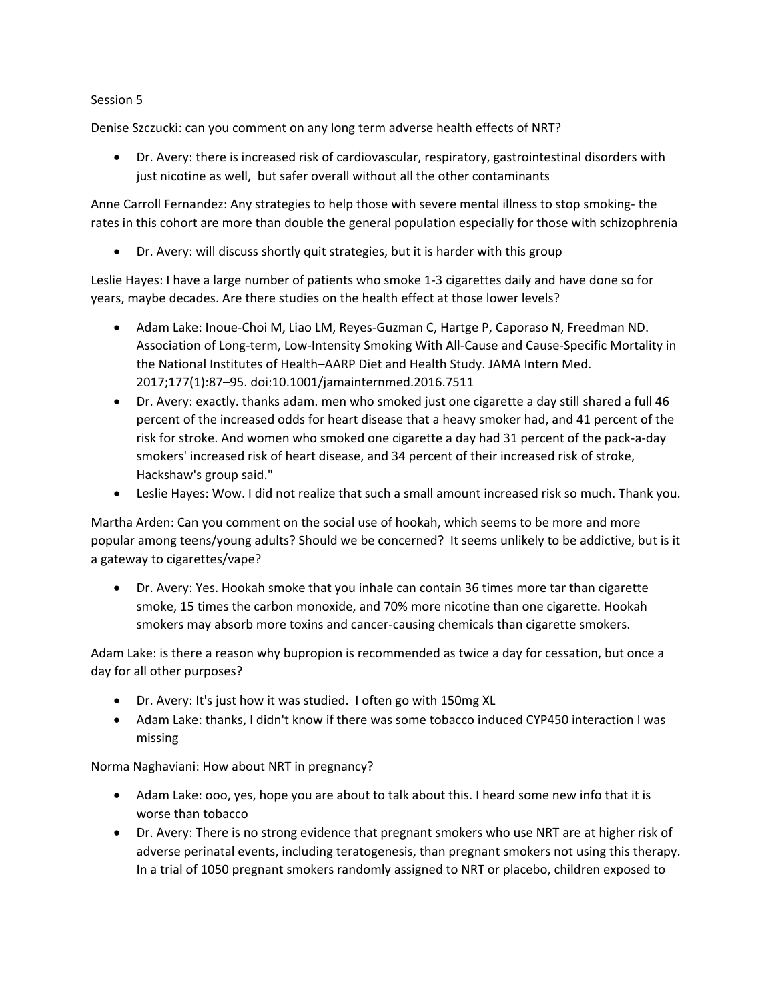## Session 5

Denise Szczucki: can you comment on any long term adverse health effects of NRT?

• Dr. Avery: there is increased risk of cardiovascular, respiratory, gastrointestinal disorders with just nicotine as well, but safer overall without all the other contaminants

Anne Carroll Fernandez: Any strategies to help those with severe mental illness to stop smoking- the rates in this cohort are more than double the general population especially for those with schizophrenia

• Dr. Avery: will discuss shortly quit strategies, but it is harder with this group

Leslie Hayes: I have a large number of patients who smoke 1-3 cigarettes daily and have done so for years, maybe decades. Are there studies on the health effect at those lower levels?

- Adam Lake: Inoue-Choi M, Liao LM, Reyes-Guzman C, Hartge P, Caporaso N, Freedman ND. Association of Long-term, Low-Intensity Smoking With All-Cause and Cause-Specific Mortality in the National Institutes of Health–AARP Diet and Health Study. JAMA Intern Med. 2017;177(1):87–95. doi:10.1001/jamainternmed.2016.7511
- Dr. Avery: exactly. thanks adam. men who smoked just one cigarette a day still shared a full 46 percent of the increased odds for heart disease that a heavy smoker had, and 41 percent of the risk for stroke. And women who smoked one cigarette a day had 31 percent of the pack-a-day smokers' increased risk of heart disease, and 34 percent of their increased risk of stroke, Hackshaw's group said."
- Leslie Hayes: Wow. I did not realize that such a small amount increased risk so much. Thank you.

Martha Arden: Can you comment on the social use of hookah, which seems to be more and more popular among teens/young adults? Should we be concerned? It seems unlikely to be addictive, but is it a gateway to cigarettes/vape?

• Dr. Avery: Yes. Hookah smoke that you inhale can contain 36 times more tar than cigarette smoke, 15 times the carbon monoxide, and 70% more nicotine than one cigarette. Hookah smokers may absorb more toxins and cancer-causing chemicals than cigarette smokers.

Adam Lake: is there a reason why bupropion is recommended as twice a day for cessation, but once a day for all other purposes?

- Dr. Avery: It's just how it was studied. I often go with 150mg XL
- Adam Lake: thanks, I didn't know if there was some tobacco induced CYP450 interaction I was missing

Norma Naghaviani: How about NRT in pregnancy?

- Adam Lake: ooo, yes, hope you are about to talk about this. I heard some new info that it is worse than tobacco
- Dr. Avery: There is no strong evidence that pregnant smokers who use NRT are at higher risk of adverse perinatal events, including teratogenesis, than pregnant smokers not using this therapy. In a trial of 1050 pregnant smokers randomly assigned to NRT or placebo, children exposed to